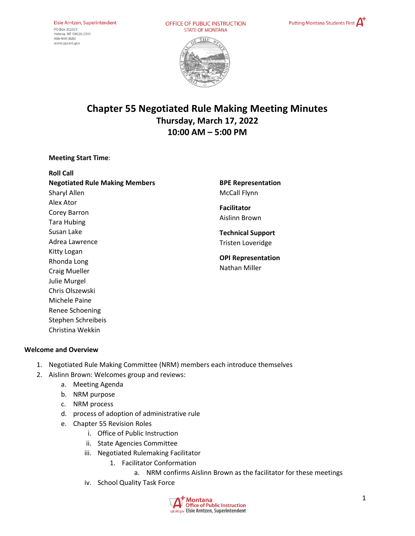OFFICE OF PUBLIC INSTRUCTION **STATE OF MONTANA** 





# **Chapter 55 Negotiated Rule Making Meeting Minutes Thursday, March 17, 2022 10:00 AM – 5:00 PM**

#### **Meeting Start Time**:

**Roll Call Negotiated Rule Making Members** Sharyl Allen Alex Ator Corey Barron Tara Hubing Susan Lake Adrea Lawrence Kitty Logan Rhonda Long Craig Mueller Julie Murgel Chris Olszewski Michele Paine Renee Schoening Stephen Schreibeis

**BPE Representation**  McCall Flynn

**Facilitator** Aislinn Brown

**Technical Support** Tristen Loveridge

**OPI Representation**  Nathan Miller

#### **Welcome and Overview**

Christina Wekkin

- 1. Negotiated Rule Making Committee (NRM) members each introduce themselves
- 2. Aislinn Brown: Welcomes group and reviews:
	- a. Meeting Agenda
	- b. NRM purpose
	- c. NRM process
	- d. process of adoption of administrative rule
	- e. Chapter 55 Revision Roles
		- i. Office of Public Instruction
		- ii. State Agencies Committee
		- iii. Negotiated Rulemaking Facilitator
			- 1. Facilitator Conformation
				- a. NRM confirms Aislinn Brown as the facilitator for these meetings
		- iv. School Quality Task Force

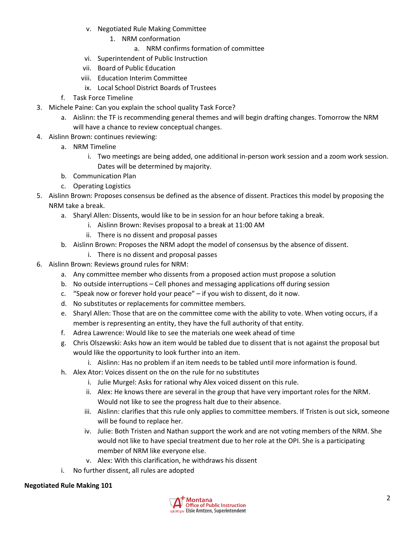- v. Negotiated Rule Making Committee
	- 1. NRM conformation
		- a. NRM confirms formation of committee
- vi. Superintendent of Public Instruction
- vii. Board of Public Education
- viii. Education Interim Committee
- ix. Local School District Boards of Trustees
- f. Task Force Timeline
- 3. Michele Paine: Can you explain the school quality Task Force?
	- a. Aislinn: the TF is recommending general themes and will begin drafting changes. Tomorrow the NRM will have a chance to review conceptual changes.
- 4. Aislinn Brown: continues reviewing:
	- a. NRM Timeline
		- i. Two meetings are being added, one additional in-person work session and a zoom work session. Dates will be determined by majority.
	- b. Communication Plan
	- c. Operating Logistics
- 5. Aislinn Brown: Proposes consensus be defined as the absence of dissent. Practices this model by proposing the NRM take a break.
	- a. Sharyl Allen: Dissents, would like to be in session for an hour before taking a break.
		- i. Aislinn Brown: Revises proposal to a break at 11:00 AM
		- ii. There is no dissent and proposal passes
	- b. Aislinn Brown: Proposes the NRM adopt the model of consensus by the absence of dissent.
		- i. There is no dissent and proposal passes
- 6. Aislinn Brown: Reviews ground rules for NRM:
	- a. Any committee member who dissents from a proposed action must propose a solution
	- b. No outside interruptions Cell phones and messaging applications off during session
	- c. "Speak now or forever hold your peace" if you wish to dissent, do it now.
	- d. No substitutes or replacements for committee members.
	- e. Sharyl Allen: Those that are on the committee come with the ability to vote. When voting occurs, if a member is representing an entity, they have the full authority of that entity.
	- f. Adrea Lawrence: Would like to see the materials one week ahead of time
	- g. Chris Olszewski: Asks how an item would be tabled due to dissent that is not against the proposal but would like the opportunity to look further into an item.
		- i. Aislinn: Has no problem if an item needs to be tabled until more information is found.
	- h. Alex Ator: Voices dissent on the on the rule for no substitutes
		- i. Julie Murgel: Asks for rational why Alex voiced dissent on this rule.
		- ii. Alex: He knows there are several in the group that have very important roles for the NRM. Would not like to see the progress halt due to their absence.
		- iii. Aislinn: clarifies that this rule only applies to committee members. If Tristen is out sick, someone will be found to replace her.
		- iv. Julie: Both Tristen and Nathan support the work and are not voting members of the NRM. She would not like to have special treatment due to her role at the OPI. She is a participating member of NRM like everyone else.
		- v. Alex: With this clarification, he withdraws his dissent
	- i. No further dissent, all rules are adopted

# **Negotiated Rule Making 101**

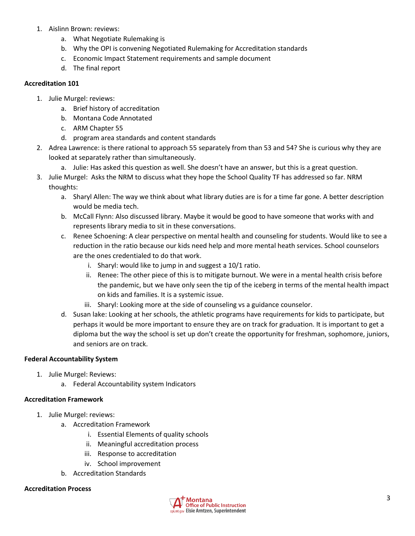- 1. Aislinn Brown: reviews:
	- a. What Negotiate Rulemaking is
	- b. Why the OPI is convening Negotiated Rulemaking for Accreditation standards
	- c. Economic Impact Statement requirements and sample document
	- d. The final report

## **Accreditation 101**

- 1. Julie Murgel: reviews:
	- a. Brief history of accreditation
	- b. Montana Code Annotated
	- c. ARM Chapter 55
	- d. program area standards and content standards
- 2. Adrea Lawrence: is there rational to approach 55 separately from than 53 and 54? She is curious why they are looked at separately rather than simultaneously.
	- a. Julie: Has asked this question as well. She doesn't have an answer, but this is a great question.
- 3. Julie Murgel: Asks the NRM to discuss what they hope the School Quality TF has addressed so far. NRM thoughts:
	- a. Sharyl Allen: The way we think about what library duties are is for a time far gone. A better description would be media tech.
	- b. McCall Flynn: Also discussed library. Maybe it would be good to have someone that works with and represents library media to sit in these conversations.
	- c. Renee Schoening: A clear perspective on mental health and counseling for students. Would like to see a reduction in the ratio because our kids need help and more mental heath services. School counselors are the ones credentialed to do that work.
		- i. Sharyl: would like to jump in and suggest a 10/1 ratio.
		- ii. Renee: The other piece of this is to mitigate burnout. We were in a mental health crisis before the pandemic, but we have only seen the tip of the iceberg in terms of the mental health impact on kids and families. It is a systemic issue.
		- iii. Sharyl: Looking more at the side of counseling vs a guidance counselor.
	- d. Susan lake: Looking at her schools, the athletic programs have requirements for kids to participate, but perhaps it would be more important to ensure they are on track for graduation. It is important to get a diploma but the way the school is set up don't create the opportunity for freshman, sophomore, juniors, and seniors are on track.

# **Federal Accountability System**

- 1. Julie Murgel: Reviews:
	- a. Federal Accountability system Indicators

# **Accreditation Framework**

- 1. Julie Murgel: reviews:
	- a. Accreditation Framework
		- i. Essential Elements of quality schools
		- ii. Meaningful accreditation process
		- iii. Response to accreditation
		- iv. School improvement
	- b. Accreditation Standards

# **Accreditation Process**

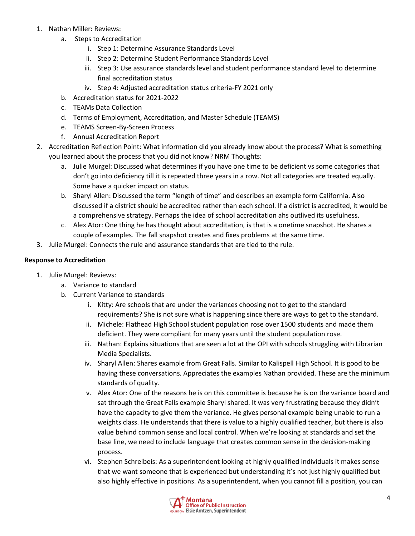- 1. Nathan Miller: Reviews:
	- a. Steps to Accreditation
		- i. Step 1: Determine Assurance Standards Level
		- ii. Step 2: Determine Student Performance Standards Level
		- iii. Step 3: Use assurance standards level and student performance standard level to determine final accreditation status
		- iv. Step 4: Adjusted accreditation status criteria-FY 2021 only
	- b. Accreditation status for 2021-2022
	- c. TEAMs Data Collection
	- d. Terms of Employment, Accreditation, and Master Schedule (TEAMS)
	- e. TEAMS Screen-By-Screen Process
	- f. Annual Accreditation Report
- 2. Accreditation Reflection Point: What information did you already know about the process? What is something you learned about the process that you did not know? NRM Thoughts:
	- a. Julie Murgel: Discussed what determines if you have one time to be deficient vs some categories that don't go into deficiency till it is repeated three years in a row. Not all categories are treated equally. Some have a quicker impact on status.
	- b. Sharyl Allen: Discussed the term "length of time" and describes an example form California. Also discussed if a district should be accredited rather than each school. If a district is accredited, it would be a comprehensive strategy. Perhaps the idea of school accreditation ahs outlived its usefulness.
	- c. Alex Ator: One thing he has thought about accreditation, is that is a onetime snapshot. He shares a couple of examples. The fall snapshot creates and fixes problems at the same time.
- 3. Julie Murgel: Connects the rule and assurance standards that are tied to the rule.

#### **Response to Accreditation**

- 1. Julie Murgel: Reviews:
	- a. Variance to standard
	- b. Current Variance to standards
		- i. Kitty: Are schools that are under the variances choosing not to get to the standard requirements? She is not sure what is happening since there are ways to get to the standard.
		- ii. Michele: Flathead High School student population rose over 1500 students and made them deficient. They were compliant for many years until the student population rose.
		- iii. Nathan: Explains situations that are seen a lot at the OPI with schools struggling with Librarian Media Specialists.
		- iv. Sharyl Allen: Shares example from Great Falls. Similar to Kalispell High School. It is good to be having these conversations. Appreciates the examples Nathan provided. These are the minimum standards of quality.
		- v. Alex Ator: One of the reasons he is on this committee is because he is on the variance board and sat through the Great Falls example Sharyl shared. It was very frustrating because they didn't have the capacity to give them the variance. He gives personal example being unable to run a weights class. He understands that there is value to a highly qualified teacher, but there is also value behind common sense and local control. When we're looking at standards and set the base line, we need to include language that creates common sense in the decision-making process.
		- vi. Stephen Schreibeis: As a superintendent looking at highly qualified individuals it makes sense that we want someone that is experienced but understanding it's not just highly qualified but also highly effective in positions. As a superintendent, when you cannot fill a position, you can

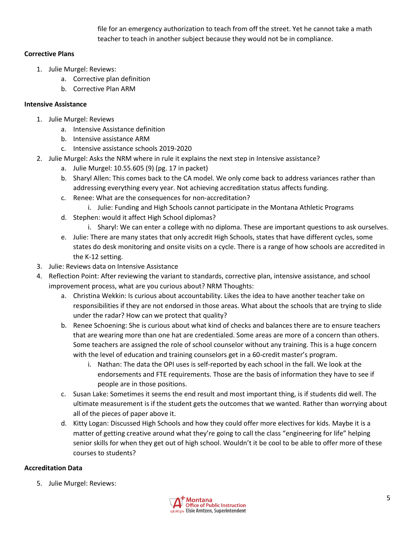file for an emergency authorization to teach from off the street. Yet he cannot take a math teacher to teach in another subject because they would not be in compliance.

# **Corrective Plans**

- 1. Julie Murgel: Reviews:
	- a. Corrective plan definition
	- b. Corrective Plan ARM

## **Intensive Assistance**

- 1. Julie Murgel: Reviews
	- a. Intensive Assistance definition
	- b. Intensive assistance ARM
	- c. Intensive assistance schools 2019-2020
- 2. Julie Murgel: Asks the NRM where in rule it explains the next step in Intensive assistance?
	- a. Julie Murgel: 10.55.605 (9) (pg. 17 in packet)
	- b. Sharyl Allen: This comes back to the CA model. We only come back to address variances rather than addressing everything every year. Not achieving accreditation status affects funding.
	- c. Renee: What are the consequences for non-accreditation?
		- i. Julie: Funding and High Schools cannot participate in the Montana Athletic Programs
	- d. Stephen: would it affect High School diplomas?
		- i. Sharyl: We can enter a college with no diploma. These are important questions to ask ourselves.
	- e. Julie: There are many states that only accredit High Schools, states that have different cycles, some states do desk monitoring and onsite visits on a cycle. There is a range of how schools are accredited in the K-12 setting.
- 3. Julie: Reviews data on Intensive Assistance
- 4. Reflection Point: After reviewing the variant to standards, corrective plan, intensive assistance, and school improvement process, what are you curious about? NRM Thoughts:
	- a. Christina Wekkin: Is curious about accountability. Likes the idea to have another teacher take on responsibilities if they are not endorsed in those areas. What about the schools that are trying to slide under the radar? How can we protect that quality?
	- b. Renee Schoening: She is curious about what kind of checks and balances there are to ensure teachers that are wearing more than one hat are credentialed. Some areas are more of a concern than others. Some teachers are assigned the role of school counselor without any training. This is a huge concern with the level of education and training counselors get in a 60-credit master's program.
		- i. Nathan: The data the OPI uses is self-reported by each school in the fall. We look at the endorsements and FTE requirements. Those are the basis of information they have to see if people are in those positions.
	- c. Susan Lake: Sometimes it seems the end result and most important thing, is if students did well. The ultimate measurement is if the student gets the outcomes that we wanted. Rather than worrying about all of the pieces of paper above it.
	- d. Kitty Logan: Discussed High Schools and how they could offer more electives for kids. Maybe it is a matter of getting creative around what they're going to call the class "engineering for life" helping senior skills for when they get out of high school. Wouldn't it be cool to be able to offer more of these courses to students?

# **Accreditation Data**

5. Julie Murgel: Reviews:

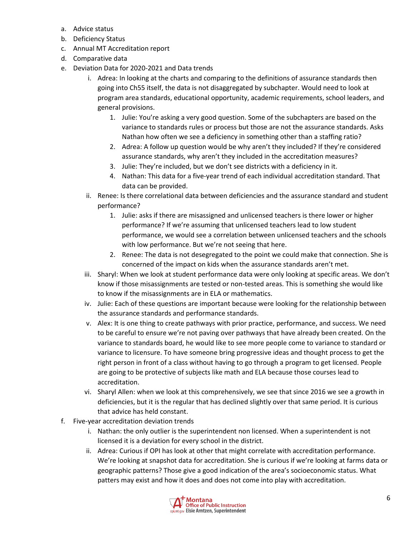- a. Advice status
- b. Deficiency Status
- c. Annual MT Accreditation report
- d. Comparative data
- e. Deviation Data for 2020-2021 and Data trends
	- i. Adrea: In looking at the charts and comparing to the definitions of assurance standards then going into Ch55 itself, the data is not disaggregated by subchapter. Would need to look at program area standards, educational opportunity, academic requirements, school leaders, and general provisions.
		- 1. Julie: You're asking a very good question. Some of the subchapters are based on the variance to standards rules or process but those are not the assurance standards. Asks Nathan how often we see a deficiency in something other than a staffing ratio?
		- 2. Adrea: A follow up question would be why aren't they included? If they're considered assurance standards, why aren't they included in the accreditation measures?
		- 3. Julie: They're included, but we don't see districts with a deficiency in it.
		- 4. Nathan: This data for a five-year trend of each individual accreditation standard. That data can be provided.
	- ii. Renee: Is there correlational data between deficiencies and the assurance standard and student performance?
		- 1. Julie: asks if there are misassigned and unlicensed teachers is there lower or higher performance? If we're assuming that unlicensed teachers lead to low student performance, we would see a correlation between unlicensed teachers and the schools with low performance. But we're not seeing that here.
		- 2. Renee: The data is not desegregated to the point we could make that connection. She is concerned of the impact on kids when the assurance standards aren't met.
	- iii. Sharyl: When we look at student performance data were only looking at specific areas. We don't know if those misassignments are tested or non-tested areas. This is something she would like to know if the misassignments are in ELA or mathematics.
	- iv. Julie: Each of these questions are important because were looking for the relationship between the assurance standards and performance standards.
	- v. Alex: It is one thing to create pathways with prior practice, performance, and success. We need to be careful to ensure we're not paving over pathways that have already been created. On the variance to standards board, he would like to see more people come to variance to standard or variance to licensure. To have someone bring progressive ideas and thought process to get the right person in front of a class without having to go through a program to get licensed. People are going to be protective of subjects like math and ELA because those courses lead to accreditation.
	- vi. Sharyl Allen: when we look at this comprehensively, we see that since 2016 we see a growth in deficiencies, but it is the regular that has declined slightly over that same period. It is curious that advice has held constant.
- f. Five-year accreditation deviation trends
	- i. Nathan: the only outlier is the superintendent non licensed. When a superintendent is not licensed it is a deviation for every school in the district.
	- ii. Adrea: Curious if OPI has look at other that might correlate with accreditation performance. We're looking at snapshot data for accreditation. She is curious if we're looking at farms data or geographic patterns? Those give a good indication of the area's socioeconomic status. What patters may exist and how it does and does not come into play with accreditation.

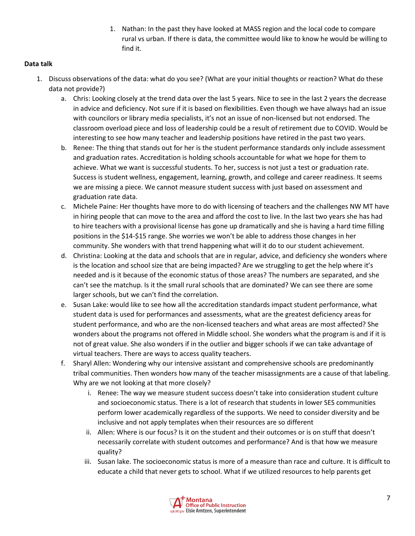1. Nathan: In the past they have looked at MASS region and the local code to compare rural vs urban. If there is data, the committee would like to know he would be willing to find it.

# **Data talk**

- 1. Discuss observations of the data: what do you see? (What are your initial thoughts or reaction? What do these data not provide?)
	- a. Chris: Looking closely at the trend data over the last 5 years. Nice to see in the last 2 years the decrease in advice and deficiency. Not sure if it is based on flexibilities. Even though we have always had an issue with councilors or library media specialists, it's not an issue of non-licensed but not endorsed. The classroom overload piece and loss of leadership could be a result of retirement due to COVID. Would be interesting to see how many teacher and leadership positions have retired in the past two years.
	- b. Renee: The thing that stands out for her is the student performance standards only include assessment and graduation rates. Accreditation is holding schools accountable for what we hope for them to achieve. What we want is successful students. To her, success is not just a test or graduation rate. Success is student wellness, engagement, learning, growth, and college and career readiness. It seems we are missing a piece. We cannot measure student success with just based on assessment and graduation rate data.
	- c. Michele Paine: Her thoughts have more to do with licensing of teachers and the challenges NW MT have in hiring people that can move to the area and afford the cost to live. In the last two years she has had to hire teachers with a provisional license has gone up dramatically and she is having a hard time filling positions in the \$14-\$15 range. She worries we won't be able to address those changes in her community. She wonders with that trend happening what will it do to our student achievement.
	- d. Christina: Looking at the data and schools that are in regular, advice, and deficiency she wonders where is the location and school size that are being impacted? Are we struggling to get the help where it's needed and is it because of the economic status of those areas? The numbers are separated, and she can't see the matchup. Is it the small rural schools that are dominated? We can see there are some larger schools, but we can't find the correlation.
	- e. Susan Lake: would like to see how all the accreditation standards impact student performance, what student data is used for performances and assessments, what are the greatest deficiency areas for student performance, and who are the non-licensed teachers and what areas are most affected? She wonders about the programs not offered in Middle school. She wonders what the program is and if it is not of great value. She also wonders if in the outlier and bigger schools if we can take advantage of virtual teachers. There are ways to access quality teachers.
	- f. Sharyl Allen: Wondering why our intensive assistant and comprehensive schools are predominantly tribal communities. Then wonders how many of the teacher misassignments are a cause of that labeling. Why are we not looking at that more closely?
		- i. Renee: The way we measure student success doesn't take into consideration student culture and socioeconomic status. There is a lot of research that students in lower SES communities perform lower academically regardless of the supports. We need to consider diversity and be inclusive and not apply templates when their resources are so different
		- ii. Allen: Where is our focus? Is it on the student and their outcomes or is on stuff that doesn't necessarily correlate with student outcomes and performance? And is that how we measure quality?
		- iii. Susan lake. The socioeconomic status is more of a measure than race and culture. It is difficult to educate a child that never gets to school. What if we utilized resources to help parents get

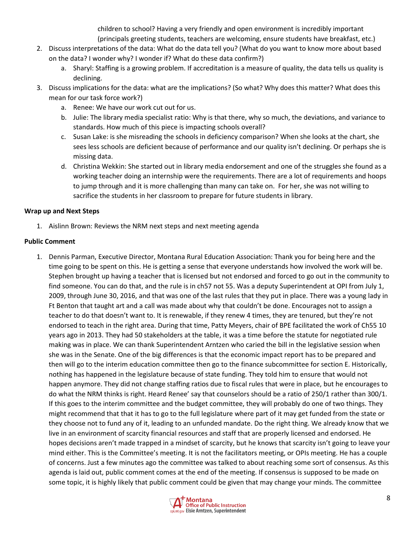children to school? Having a very friendly and open environment is incredibly important (principals greeting students, teachers are welcoming, ensure students have breakfast, etc.)

- 2. Discuss interpretations of the data: What do the data tell you? (What do you want to know more about based on the data? I wonder why? I wonder if? What do these data confirm?)
	- a. Sharyl: Staffing is a growing problem. If accreditation is a measure of quality, the data tells us quality is declining.
- 3. Discuss implications for the data: what are the implications? (So what? Why does this matter? What does this mean for our task force work?)
	- a. Renee: We have our work cut out for us.
	- b. Julie: The library media specialist ratio: Why is that there, why so much, the deviations, and variance to standards. How much of this piece is impacting schools overall?
	- c. Susan Lake: is she misreading the schools in deficiency comparison? When she looks at the chart, she sees less schools are deficient because of performance and our quality isn't declining. Or perhaps she is missing data.
	- d. Christina Wekkin: She started out in library media endorsement and one of the struggles she found as a working teacher doing an internship were the requirements. There are a lot of requirements and hoops to jump through and it is more challenging than many can take on. For her, she was not willing to sacrifice the students in her classroom to prepare for future students in library.

# **Wrap up and Next Steps**

1. Aislinn Brown: Reviews the NRM next steps and next meeting agenda

# **Public Comment**

1. Dennis Parman, Executive Director, Montana Rural Education Association: Thank you for being here and the time going to be spent on this. He is getting a sense that everyone understands how involved the work will be. Stephen brought up having a teacher that is licensed but not endorsed and forced to go out in the community to find someone. You can do that, and the rule is in ch57 not 55. Was a deputy Superintendent at OPI from July 1, 2009, through June 30, 2016, and that was one of the last rules that they put in place. There was a young lady in Ft Benton that taught art and a call was made about why that couldn't be done. Encourages not to assign a teacher to do that doesn't want to. It is renewable, if they renew 4 times, they are tenured, but they're not endorsed to teach in the right area. During that time, Patty Meyers, chair of BPE facilitated the work of Ch55 10 years ago in 2013. They had 50 stakeholders at the table, it was a time before the statute for negotiated rule making was in place. We can thank Superintendent Arntzen who caried the bill in the legislative session when she was in the Senate. One of the big differences is that the economic impact report has to be prepared and then will go to the interim education committee then go to the finance subcommittee for section E. Historically, nothing has happened in the legislature because of state funding. They told him to ensure that would not happen anymore. They did not change staffing ratios due to fiscal rules that were in place, but he encourages to do what the NRM thinks is right. Heard Renee' say that counselors should be a ratio of 250/1 rather than 300/1. If this goes to the interim committee and the budget committee, they will probably do one of two things. They might recommend that that it has to go to the full legislature where part of it may get funded from the state or they choose not to fund any of it, leading to an unfunded mandate. Do the right thing. We already know that we live in an environment of scarcity financial resources and staff that are properly licensed and endorsed. He hopes decisions aren't made trapped in a mindset of scarcity, but he knows that scarcity isn't going to leave your mind either. This is the Committee's meeting. It is not the facilitators meeting, or OPIs meeting. He has a couple of concerns. Just a few minutes ago the committee was talked to about reaching some sort of consensus. As this agenda is laid out, public comment comes at the end of the meeting. If consensus is supposed to be made on some topic, it is highly likely that public comment could be given that may change your minds. The committee